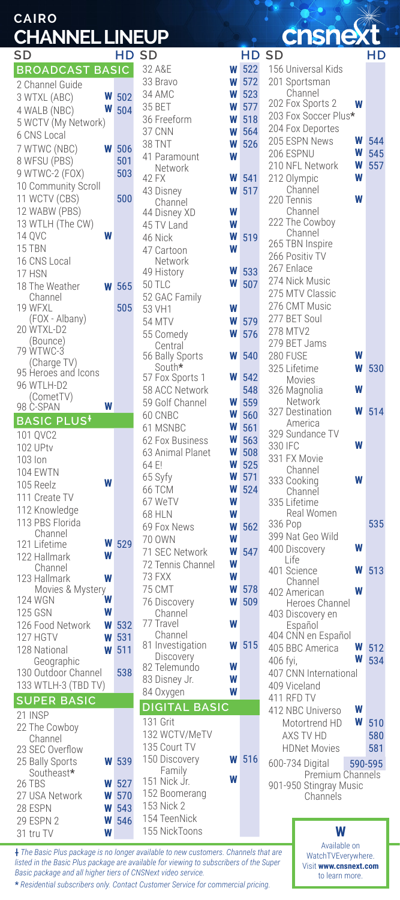| CAIRO                 |  |  |
|-----------------------|--|--|
| <b>CHANNEL LINEUP</b> |  |  |

| שכ                            |   | Hν         |
|-------------------------------|---|------------|
| <b>BROADCAST BASIC</b>        |   |            |
| 2 Channel Guide               |   |            |
| 3 WTXL (ABC)                  | W | 502        |
| 4 WALB (NBC)                  | W | 504        |
| 5 WCTV (My Network)           |   |            |
| 6 CNS Local                   |   |            |
|                               | W |            |
| 7 WTWC (NBC)                  |   | 506        |
| 8 WFSU (PBS)                  |   | 501        |
| 9 WTWC-2 (FOX)                |   | 503        |
| 10 Community Scroll           |   |            |
| 11 WCTV (CBS)                 |   | 500        |
| 12 WABW (PBS)                 |   |            |
| 13 WTLH (The CW)              |   |            |
| 14 QVC                        |   |            |
| 15 TBN                        |   |            |
| 16 CNS Local                  |   |            |
| 17 HSN                        |   |            |
| 18 The Weather                |   | 565        |
| Channel                       |   |            |
| 19 WFXL                       |   | 505        |
| (FOX - Albany)                |   |            |
| 20 WTXL-D2                    |   |            |
| (Bounce)                      |   |            |
| 79 WTWC-3                     |   |            |
| (Charge TV)                   |   |            |
| 95 Heroes and Icons           |   |            |
| 96 WTLH-D2                    |   |            |
| (CometTV)<br>98 C-SPAN        |   |            |
|                               |   |            |
| <b>BASIC PLUS</b>             |   |            |
| 101 QVC2                      |   |            |
| 102 UPtv                      |   |            |
| 103 Ion                       |   |            |
| 104 EWTN                      |   |            |
| 105 Reelz                     |   |            |
| 111 Create TV                 |   |            |
| 112 Knowledge                 |   |            |
| 113 PBS Florida               |   |            |
| Channel                       |   |            |
| 121 Lifetime                  | W | 529        |
| 122 Hallmark                  | W |            |
| Channel                       |   |            |
| 123 Hallmark                  | W |            |
| Movies & Mystery              |   |            |
| 124 WGN                       | W |            |
| 125 GSN                       | W |            |
| 126 Food Network              | W | 532        |
| 127 HGTV                      | W | 531        |
| 128 National                  | W | 511        |
| Geographic                    |   |            |
| 130 Outdoor Channel           |   | 538        |
| 133 WTLH-3 (TBD TV)           |   |            |
| <b>SUPER BASIC</b>            |   |            |
|                               |   |            |
| 21 INSP                       |   |            |
| 22 The Cowboy                 |   |            |
| Channel<br>23 SEC Overflow    |   |            |
|                               | W |            |
| 25 Bally Sports<br>Southeast* |   | 539        |
| 26 TBS                        | W | 527        |
|                               | W | 570        |
| 27 USA Network                | W |            |
| 28 ESPN<br>29 ESPN 2          | W | 543<br>546 |
| 31 tru TV                     | W |            |
|                               |   |            |

| SD                            |   | HD  |
|-------------------------------|---|-----|
| 32 A&E                        | W | 522 |
| 33 Bravo                      | W | 572 |
|                               |   |     |
| 34 AMC                        | W | 523 |
| 35 BET                        | W | 577 |
| 36 Freeform                   | W | 518 |
| 37 CNN                        | W | 564 |
| 38 TNT                        | W | 526 |
|                               |   |     |
| 41 Paramount                  | W |     |
| Network                       |   |     |
| 42 FX                         | W | 541 |
| 43 Disney                     | W | 517 |
| Channel                       |   |     |
| 44 Disney XD                  | W |     |
| 45 TV Land                    | W |     |
| 46 Nick                       | W | 519 |
| 47 Cartoon                    | W |     |
|                               |   |     |
| Network                       | W | 533 |
| 49 History                    |   |     |
| 50 TLC                        | W | 507 |
| 52 GAC Family                 |   |     |
| 53 VH1                        | W |     |
| 54 MTV                        | W | 579 |
| 55 Comedy                     | W | 576 |
| Central                       |   |     |
| 56 Bally Sports               | W | 540 |
| South*                        |   |     |
|                               | W | 542 |
| 57 Fox Sports 1               |   |     |
| 58 ACC Network                |   | 548 |
| 59 Golf Channel               | W | 559 |
| 60 CNBC                       | W | 560 |
| 61 MSNBC                      | W | 561 |
| 62 Fox Business               | W | 563 |
|                               | W |     |
| 63 Animal Planet              |   | 508 |
| 64 E!                         | W | 525 |
| 65 Syfy                       | W | 571 |
| 66 TCM                        | W | 524 |
| 67 WeTV                       | W |     |
| 68 HLN                        | W |     |
|                               |   | 562 |
| 69 Fox News                   |   |     |
|                               | W |     |
| 70 OWN                        | W |     |
| 71 SEC Network                | W | 547 |
|                               | W |     |
| 72 Tennis Channel             |   |     |
| 73 FXX                        | W |     |
| 75 CMT                        | W | 578 |
| 76 Discovery                  | W | 509 |
| Channel                       |   |     |
| 77<br>Travel                  | W |     |
| Channel                       |   |     |
| 81 Investigation              | W | 515 |
| Discovery                     |   |     |
| 82 Telemundo                  | W |     |
| 83 Disney Jr.                 | W |     |
| 84 Oxygen                     | W |     |
|                               |   |     |
| <b>DIGITAL BASIC</b>          |   |     |
| 131 Grit                      |   |     |
| 132 WCTV/MeTV                 |   |     |
| 135 Court TV                  |   |     |
| 150 Discovery                 | W | 516 |
| Family                        |   |     |
| 151 Nick Jr.                  | W |     |
| 152 Boomerang                 |   |     |
|                               |   |     |
| 153 Nick 2                    |   |     |
| 154 TeenNick<br>155 NickToons |   |     |

**:nsnex** 

| SD                                 |              | HD SD                         |        |              | HD SD                               | нD         |
|------------------------------------|--------------|-------------------------------|--------|--------------|-------------------------------------|------------|
| <b>BROADCAST BASIC</b>             |              | 32 A&E                        |        | <b>W</b> 522 | 156 Universal Kids                  |            |
| 2 Channel Guide                    |              | 33 Bravo                      | W      | 572          | 201 Sportsman                       |            |
| W<br>3 WTXL (ABC)                  | 502          | 34 AMC                        | W      | 523          | Channel                             |            |
| W<br>4 WALB (NBC)                  | 504          | 35 BET                        | W      | 577          | 202 Fox Sports 2<br>W               |            |
| 5 WCTV (My Network)                |              | 36 Freeform                   | W      | 518          | 203 Fox Soccer Plus*                |            |
| 6 CNS Local                        |              | 37 CNN                        | W      | 564          | 204 Fox Deportes                    |            |
| 7 WTWC (NBC)<br>W                  | 506          | 38 TNT                        | W      | 526          | 205 ESPN News<br>W                  | 544        |
| 8 WFSU (PBS)                       | 501          | 41 Paramount                  | W      |              | 206 ESPNU<br>W                      | 545        |
| 9 WTWC-2 (FOX)                     | 503          | Network                       |        |              | 210 NFL Network<br>W<br>W           | 557        |
| 10 Community Scroll                |              | 42 FX                         | W<br>W | 541<br>517   | 212 Olympic<br>Channel              |            |
| 11 WCTV (CBS)                      | 500          | 43 Disney<br>Channel          |        |              | W<br>220 Tennis                     |            |
| 12 WABW (PBS)                      |              | 44 Disney XD                  | W      |              | Channel                             |            |
| 13 WTLH (The CW)                   |              | 45 TV Land                    | W      |              | 222 The Cowboy                      |            |
| W<br>14 QVC                        |              | 46 Nick                       | W      | 519          | Channel                             |            |
| 15 TBN                             |              | 47 Cartoon                    | W      |              | 265 TBN Inspire                     |            |
| 16 CNS Local                       |              | Network                       |        |              | 266 Positiv TV<br>267 Enlace        |            |
| 17 HSN                             |              | 49 History                    | W      | 533          | 274 Nick Music                      |            |
| 18 The Weather<br>W                | 565          | 50 TLC                        | W      | 507          | 275 MTV Classic                     |            |
| Channel                            |              | 52 GAC Family                 |        |              | 276 CMT Music                       |            |
| 19 WFXL<br>(FOX - Albany)          | 505          | 53 VH1                        | W      |              | 277 BET Soul                        |            |
| 20 WTXL-D2                         |              | 54 MTV                        | W      | 579          | 278 MTV2                            |            |
| (Bounce)                           |              | 55 Comedy                     | W      | 576          | 279 BET Jams                        |            |
| 79 WTWC-3                          |              | Central<br>56 Bally Sports    | W      | 540          | 280 FUSE<br>W                       |            |
| (Charge TV)                        |              | South*                        |        |              | W<br>325 Lifetime                   | 530        |
| 95 Heroes and Icons                |              | 57 Fox Sports 1               | W      | 542          | Movies                              |            |
| 96 WTLH-D2<br>(CometTV)            |              | 58 ACC Network                |        | 548          | W<br>326 Magnolia                   |            |
| W<br>98 C-SPAN                     |              | 59 Golf Channel               | W      | 559          | Network                             |            |
| <b>BASIC PLUS<sup>+</sup></b>      |              | 60 CNBC                       | W      | 560          | W<br>327 Destination<br>America     | 514        |
| 101 OVC2                           |              | 61 MSNBC                      | W      | 561          | 329 Sundance TV                     |            |
| 102 UPtv                           |              | 62 Fox Business               | W      | 563          | W<br>330 IFC                        |            |
| 103 lon                            |              | 63 Animal Planet              | W      | 508          | 331 FX Movie                        |            |
| <b>104 EWTN</b>                    |              | 64 F!                         | W      | 525          | Channel                             |            |
| W<br>105 Reelz                     |              | 65 Syfy                       | W      | 571          | W<br>333 Cooking                    |            |
| 111 Create TV                      |              | 66 TCM                        | W<br>W | 524          | Channel<br>335 Lifetime             |            |
| 112 Knowledge                      |              | 67 WeTV<br><b>68 HLN</b>      | W      |              | Real Women                          |            |
| 113 PBS Florida                    |              | 69 Fox News                   | W      | 562          | 336 Pop                             | 535        |
| Channel                            |              | 70 OWN                        | W      |              | 399 Nat Geo Wild                    |            |
| W<br>121 Lifetime                  | 529          | 71 SEC Network                | W      | 547          | W<br>400 Discovery                  |            |
| W<br>122 Hallmark                  |              | 72 Tennis Channel             | W      |              | Life                                |            |
| Channel<br>W<br>123 Hallmark       |              | 73 FXX                        | W      |              | 401 Science<br>W                    | 513        |
| Movies & Mystery                   |              | 75 CMT                        | W      | 578          | Channel<br>W<br>402 American        |            |
| <b>124 WGN</b><br>W                |              | 76 Discovery                  | W      | 509          | Heroes Channel                      |            |
| <b>125 GSN</b><br>W                |              | Channel                       |        |              | 403 Discovery en                    |            |
| 126 Food Network<br>W              | 532          | 77 Travel                     | W      |              | Español                             |            |
| 127 HGTV<br>W                      | 531          | Channel                       |        |              | 404 CNN en Español                  |            |
| 128 National<br>W                  | 511          | 81 Investigation<br>Discovery | W      | 515          | W<br>405 BBC America                | 512        |
| Geographic                         |              | 82 Telemundo                  | W      |              | W<br>406 fyi,                       | 534        |
| 130 Outdoor Channel                | 538          | 83 Disney Jr.                 | W      |              | 407 CNN International               |            |
| 133 WTLH-3 (TBD TV)                |              | 84 Oxygen                     | W      |              | 409 Viceland                        |            |
| <b>SUPER BASIC</b>                 |              | <b>DIGITAL BASIC</b>          |        |              | 411 RFD TV<br>W                     |            |
| 21 INSP                            |              | 131 Grit                      |        |              | 412 NBC Universo<br>W               |            |
| 22 The Cowboy                      |              | 132 WCTV/MeTV                 |        |              | Motortrend HD<br>AXS TV HD          | 510<br>580 |
| Channel                            |              | 135 Court TV                  |        |              | <b>HDNet Movies</b>                 | 581        |
| 23 SEC Overflow<br>25 Bally Sports | <b>W</b> 539 | 150 Discovery                 |        | <b>W</b> 516 |                                     |            |
| Southeast*                         |              | Family                        |        |              | 600-734 Digital<br>Premium Channels | 590-595    |
| 26 TBS<br>W                        | 527          | 151 Nick Jr.                  | W      |              | 901-950 Stingray Music              |            |
| 27 USA Network                     | <b>W</b> 570 | 152 Boomerang                 |        |              | Channels                            |            |
| 00F0N1<br>w                        |              | 153 Nick 2                    |        |              |                                     |            |

Available on WatchTVEverywhere. Visit **www.cnsnext.com** to learn more. **W**

**†** *The Basic Plus package is no longer available to new customers. Channels that are listed in the Basic Plus package are available for viewing to subscribers of the Super Basic package and all higher tiers of CNSNext video service.*

**\*** *Residential subscribers only. Contact Customer Service for commercial pricing.*